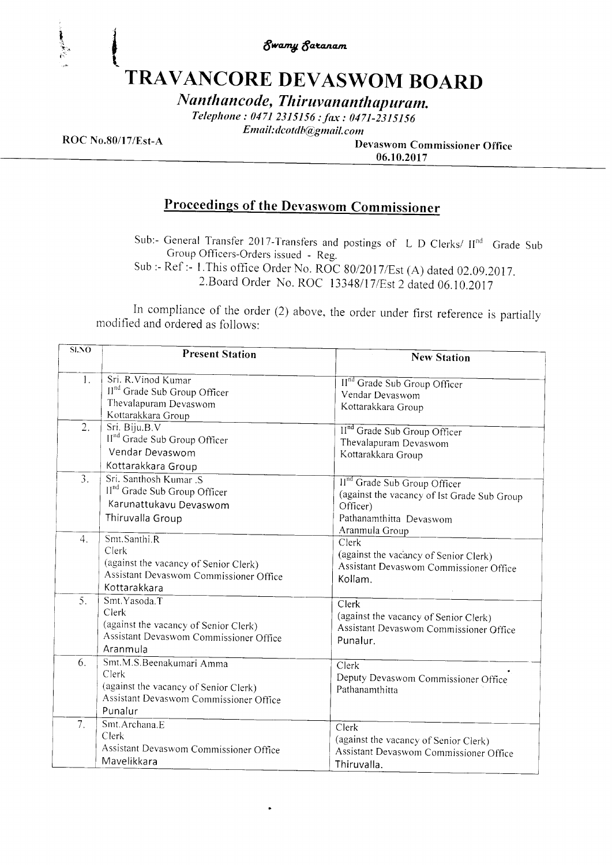Swan4 \$azancnt

# TRAVANCORE DEVASWOM BOARD

Nanthancode, Thiruvananthapuram.

Telephone: 0471 2315156 : fax : 0471-2315156

Email:dcotdb@gmail.com

I , t

I .1 i'i

ROC No.80/17/Est-A Devaswom Commissioner Office 06.10.2017

## Proceedings of the Devaswom Commissioner

Sub:- General Transfer 2017-Transfers and postings of L D Clerks/  $H<sup>nd</sup>$  Grade Sub Group Officers-Orders issued - Reg.

Sub :- Ref :- 1. This office Order No. ROC 80/2017/Est (A) dated 02.09.2017. 2.Board Order No. ROC 13348/17/Est 2 dated 06.10.2017

In compliance of the order  $(2)$  above, the order under first reference is partially modified and ordered as follows:

| $\overline{\text{SLO}}$ | <b>Present Station</b>                                                                                                          | <b>New Station</b>                                                                                                                               |
|-------------------------|---------------------------------------------------------------------------------------------------------------------------------|--------------------------------------------------------------------------------------------------------------------------------------------------|
| $\mathbf{1}$ .          | Sri. R.Vinod Kumar<br>II <sup>nd</sup> Grade Sub Group Officer<br>Thevalapuram Devaswom<br>Kottarakkara Group                   | II <sup>nd</sup> Grade Sub Group Officer<br>Vendar Devaswom<br>Kottarakkara Group                                                                |
| 2.                      | Sri. Biju.B.V<br>II <sup>nd</sup> Grade Sub Group Officer<br>Vendar Devaswom<br>Kottarakkara Group                              | II <sup>nd</sup> Grade Sub Group Officer<br>Thevalapuram Devaswom<br>Kottarakkara Group                                                          |
| 3.                      | Sri. Santhosh Kumar .S<br>II <sup>nd</sup> Grade Sub Group Officer<br>Karunattukavu Devaswom<br>Thiruvalla Group                | II <sup>nd</sup> Grade Sub Group Officer<br>(against the vacancy of Ist Grade Sub Group<br>Officer)<br>Pathanamthitta Devaswom<br>Aranmula Group |
| 4.                      | Smt.Santhi.R<br>Clerk<br>(against the vacancy of Senior Clerk)<br>Assistant Devaswom Commissioner Office<br>Kottarakkara        | Clerk<br>(against the vacancy of Senior Clerk)<br>Assistant Devaswom Commissioner Office<br>Kollam.                                              |
| 5.                      | Smt. Yasoda. T<br>Clerk<br>(against the vacancy of Senior Clerk)<br>Assistant Devaswom Commissioner Office<br>Aranmula          | Clerk<br>(against the vacancy of Senior Clerk)<br>Assistant Devaswom Commissioner Office<br>Punalur.                                             |
| 6.                      | Smt.M.S.Beenakumari Amma<br>Clerk<br>(against the vacancy of Senior Clerk)<br>Assistant Devaswom Commissioner Office<br>Punalur | Clerk<br>Deputy Devaswom Commissioner Office<br>Pathanamthitta                                                                                   |
| 7.                      | Smt.Archana.E<br>Clerk<br>Assistant Devaswom Commissioner Office<br>Mavelikkara                                                 | $\overline{\text{Clerk}}$<br>(against the vacancy of Senior Clerk)<br>Assistant Devaswom Commissioner Office<br>Thiruvalla.                      |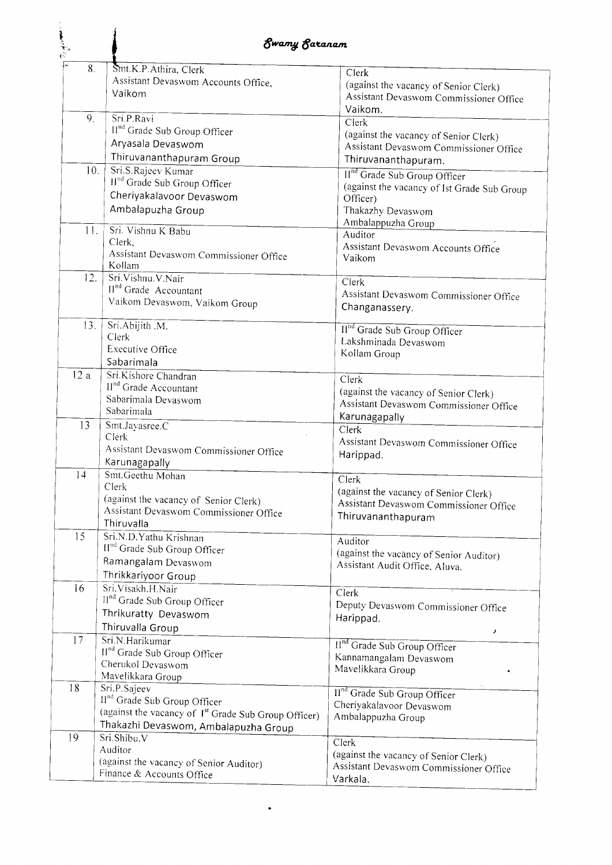|                | Ewamy Earanam                                                                                                                                                        |                                                                                                                                                 |
|----------------|----------------------------------------------------------------------------------------------------------------------------------------------------------------------|-------------------------------------------------------------------------------------------------------------------------------------------------|
| 8.             | Smt.K.P.Athira, Clerk<br>Assistant Devaswom Accounts Office,<br>Vaikom                                                                                               | Clerk<br>(against the vacancy of Senior Clerk)<br>Assistant Devaswom Commissioner Office<br>Vaikom.                                             |
| 9.             | Sri.P.Ravi<br>II <sup>nd</sup> Grade Sub Group Officer<br>Aryasala Devaswom                                                                                          | Clerk<br>(against the vacancy of Senior Clerk)<br>Assistant Devaswom Commissioner Office                                                        |
| 10.            | Thiruvananthapuram Group<br>Sri.S.Rajeev Kumar<br>II <sup>nd</sup> Grade Sub Group Officer<br>Cheriyakalavoor Devaswom<br>Ambalapuzha Group                          | Thiruvananthapuram.<br>II <sup>nd</sup> Grade Sub Group Officer<br>(against the vacancy of Ist Grade Sub Group<br>Officer)<br>Thakazhy Devaswom |
| 11.            | Sri. Vishnu K Babu<br>Clerk,<br>Assistant Devaswom Commissioner Office<br>Kollam                                                                                     | Ambalappuzha Group<br>Auditor<br>Assistant Devaswom Accounts Office<br>Vaikom                                                                   |
| 12.            | Sri.Vishnu.V.Nair<br>II <sup>nd</sup> Grade Accountant<br>Vaikom Devaswom, Vaikom Group                                                                              | Clerk<br>Assistant Devaswom Commissioner Office<br>Changanassery.                                                                               |
| 13.            | Sri.Abijith .M.<br>Clerk<br><b>Executive Office</b><br>Sabarimala                                                                                                    | II <sup>nd</sup> Grade Sub Group Officer<br>Lakshminada Devaswom<br>Kollam Group                                                                |
| 12a            | Sri.Kishore Chandran<br>II <sup>nd</sup> Grade Accountant<br>Sabarimala Devaswom<br>Sabarimala                                                                       | Clerk<br>(against the vacancy of Senior Clerk)<br>Assistant Devaswom Commissioner Office<br>Karunagapally                                       |
| 13             | Smt.Jayasree.C<br>Clerk<br>Assistant Devaswom Commissioner Office<br>Karunagapally                                                                                   | Clerk<br>Assistant Devaswom Commissioner Office<br>Harippad.                                                                                    |
| $\overline{4}$ | Smt.Geethu Mohan<br>Clerk<br>(against the vacancy of Senior Clerk)<br>Assistant Devaswom Commissioner Office<br>Thiruvalla                                           | Clerk<br>(against the vacancy of Senior Clerk)<br>Assistant Devaswom Commissioner Office<br>Thiruvananthapuram                                  |
| 15             | Sri.N.D.Yathu Krishnan<br>II <sup>nd</sup> Grade Sub Group Officer<br>Ramangalam Devaswom<br>Thrikkariyoor Group                                                     | Auditor<br>(against the vacancy of Senior Auditor)<br>Assistant Audit Office, Aluva.                                                            |
| 16             | Sri.Visakh.H.Nair<br>II <sup>nd</sup> Grade Sub Group Officer<br>Thrikuratty Devaswom<br>Thiruvalla Group                                                            | Clerk<br>Deputy Devaswom Commissioner Office<br>Harippad.<br>$\boldsymbol{\lambda}$                                                             |
| 17             | Sri.N.Harikumar<br>II <sup>nd</sup> Grade Sub Group Officer<br>Cherukol Devaswom<br>Mavelikkara Group                                                                | II <sup>nd</sup> Grade Sub Group Officer<br>Kannamangalam Devaswom<br>Mavelikkara Group                                                         |
| 18             | Sri.P.Sajeev<br>II <sup>nd</sup> Grade Sub Group Officer<br>(against the vacancy of I <sup>st</sup> Grade Sub Group Officer)<br>Thakazhi Devaswom, Ambalapuzha Group | II <sup>nd</sup> Grade Sub Group Officer<br>Cheriyakalavoor Devaswom<br>Ambalappuzha Group                                                      |
| 19             | Sri.Shibu.V<br>Auditor<br>(against the vacancy of Senior Auditor)<br>Finance & Accounts Office                                                                       | Clerk<br>(against the vacancy of Senior Clerk)<br>Assistant Devaswom Commissioner Office<br>Varkala.                                            |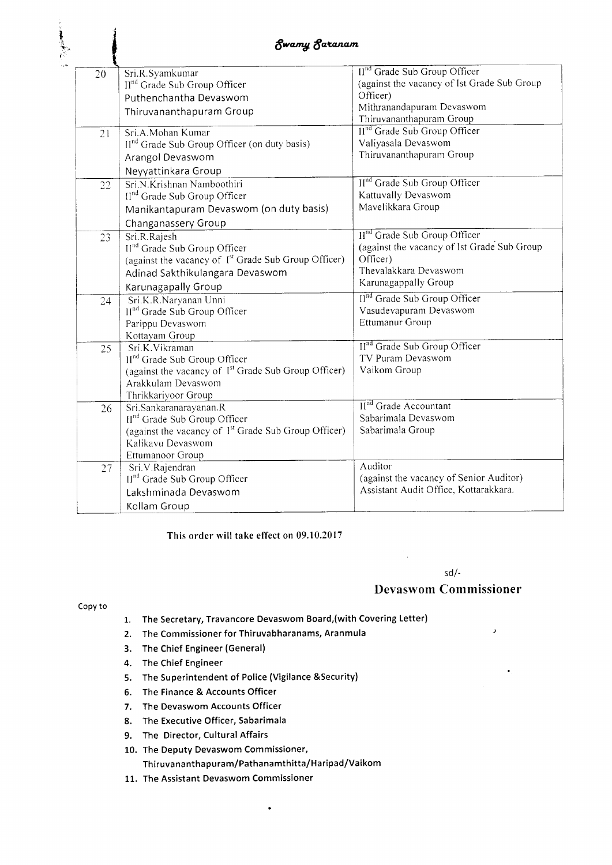| 20 | Sri.R.Syamkumar                                                  | II <sup>nd</sup> Grade Sub Group Officer    |
|----|------------------------------------------------------------------|---------------------------------------------|
|    | II <sup>nd</sup> Grade Sub Group Officer                         | (against the vacancy of Ist Grade Sub Group |
|    | Puthenchantha Devaswom                                           | Officer)                                    |
|    | Thiruvananthapuram Group                                         | Mithranandapuram Devaswom                   |
|    |                                                                  | Thiruvananthapuram Group                    |
| 21 | Sri.A.Mohan Kumar                                                | II <sup>nd</sup> Grade Sub Group Officer    |
|    | II <sup>nd</sup> Grade Sub Group Officer (on duty basis)         | Valiyasala Devaswom                         |
|    | Arangol Devaswom                                                 | Thiruvananthapuram Group                    |
|    | Neyyattinkara Group                                              |                                             |
| 22 | Sri.N.Krishnan Namboothiri                                       | II <sup>nd</sup> Grade Sub Group Officer    |
|    | II <sup>nd</sup> Grade Sub Group Officer                         | Kattuvally Devaswom                         |
|    | Manikantapuram Devaswom (on duty basis)                          | Mavelikkara Group                           |
|    | Changanassery Group                                              |                                             |
| 23 | Sri.R.Rajesh                                                     | II <sup>nd</sup> Grade Sub Group Officer    |
|    | II <sup>nd</sup> Grade Sub Group Officer                         | (against the vacancy of Ist Grade Sub Group |
|    | (against the vacancy of 1 <sup>st</sup> Grade Sub Group Officer) | Officer)                                    |
|    | Adinad Sakthikulangara Devaswom                                  | Thevalakkara Devaswom                       |
|    | Karunagapally Group                                              | Karunagappally Group                        |
| 24 | Sri.K.R.Naryanan Unni                                            | Il <sup>nd</sup> Grade Sub Group Officer    |
|    | II <sup>nd</sup> Grade Sub Group Officer                         | Vasudevapuram Devaswom                      |
|    | Parippu Devaswom                                                 | Ettumanur Group                             |
|    | Kottayam Group                                                   |                                             |
| 25 | Sri.K.Vikraman                                                   | II <sup>nd</sup> Grade Sub Group Officer    |
|    | II <sup>nd</sup> Grade Sub Group Officer                         | TV Puram Devaswom                           |
|    | (against the vacancy of 1 <sup>st</sup> Grade Sub Group Officer) | Vaikom Group                                |
|    | Arakkulam Devaswom                                               |                                             |
|    | Thrikkariyoor Group                                              |                                             |
| 26 | Sri.Sankaranarayanan.R                                           | II <sup>nd</sup> Grade Accountant           |
|    | II <sup>nd</sup> Grade Sub Group Officer                         | Sabarimala Devaswom                         |
|    | (against the vacancy of 1 <sup>st</sup> Grade Sub Group Officer) | Sabarimala Group                            |
|    | Kalikavu Devaswom                                                |                                             |
|    | Ettumanoor Group                                                 |                                             |
| 27 | Sri.V.Rajendran                                                  | Auditor                                     |
|    | II <sup>nd</sup> Grade Sub Group Officer                         | (against the vacancy of Senior Auditor)     |
|    | Lakshminada Devaswom                                             | Assistant Audit Office, Kottarakkara.       |
|    | Kollam Group                                                     |                                             |

This order will take effect on 09.10.2017

#### sd/-

#### Devaswom Commissioner

 $\bar{\lambda}$ 

#### Copy to

l .1  $\epsilon^{\rm s}$ 

- 1. The Secretary, Travancore Devaswom Board,(with Covering Letter)
- 2. The Commissioner for Thiruvabharanams, Aranmula
- 3. The Chief Engineer (General)
- 4. The Chief Engineer
- 5. The Superintendent of Police (Vigilance &Security)
- 6. The Finance & Accounts Officer
- 7. The Devaswom Accounts Officer
- 8. The Executive Officer, Sabarimala
- 9. The Director, Cultural Affairs
- 10. The Deputy Devaswom Commissioner, Thiruvananthapuram/Pathanamthitta/Haripad/Vaikom

 $\cdot$ 

11. The Assistant Devaswom Commissioner